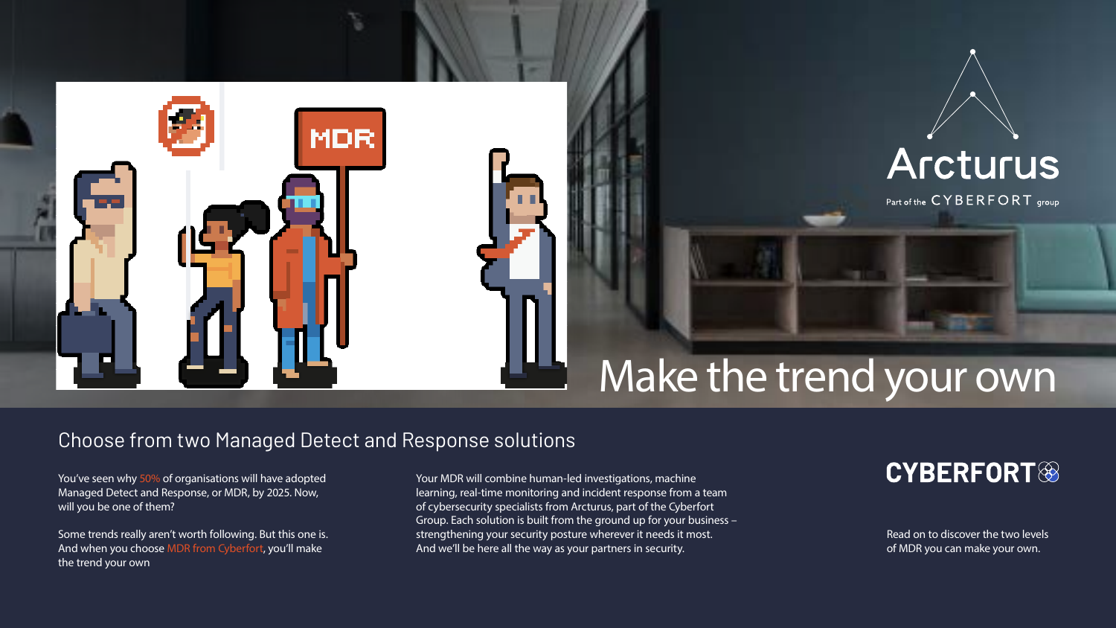# Make the trend your own

## **CYBERFORT<sup>®</sup>**

You've seen why 50% of organisations will have adopted Managed Detect and Response, or MDR, by 2025. Now, will you be one of them?

Some trends really aren't worth following. But this one is. And when you choose MDR from Cyberfort, you'll make the trend your own

Your MDR will combine human-led investigations, machine learning, real-time monitoring and incident response from a team of cybersecurity specialists from Arcturus, part of the Cyberfort Group. Each solution is built from the ground up for your business – strengthening your security posture wherever it needs it most. And we'll be here all the way as your partners in security.



Part of the CYBERFORT group



## Choose from two Managed Detect and Response solutions

Read on to discover the two levels of MDR you can make your own.

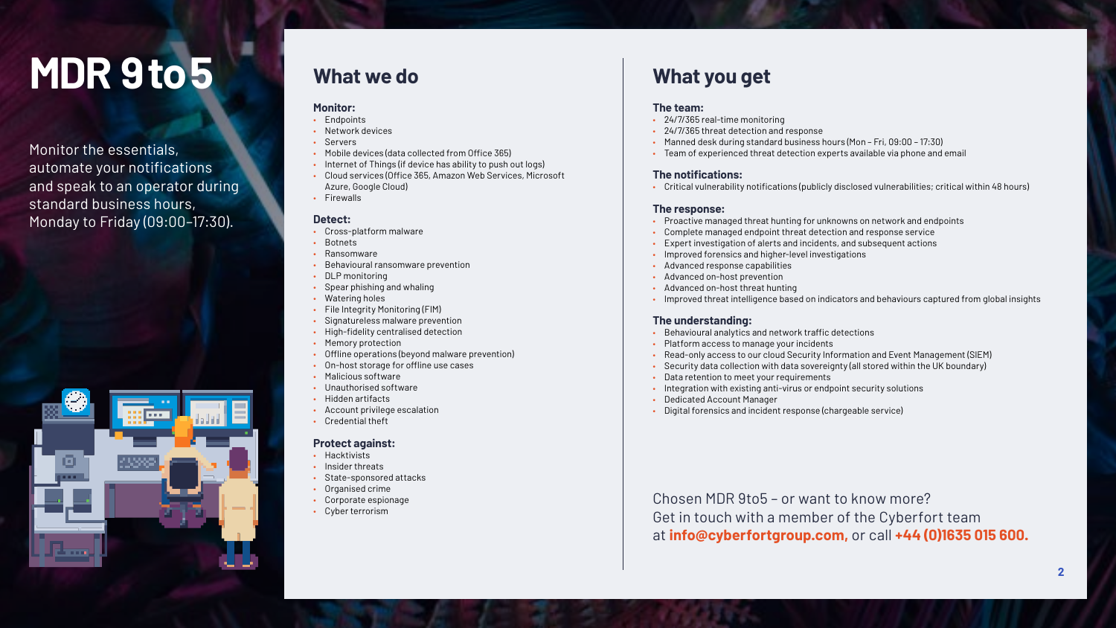#### **The team:**

- 24/7/365 real-time monitoring
- 24/7/365 threat detection and response
- Manned desk during standard business hours (Mon Fri, 09:00 17:30)
- Team of experienced threat detection experts available via phone and email

#### **The notifications:**

• Critical vulnerability notifications (publicly disclosed vulnerabilities; critical within 48 hours)

#### **The response:**

- Proactive managed threat hunting for unknowns on network and endpoints
- Complete managed endpoint threat detection and response service
- Expert investigation of alerts and incidents, and subsequent actions
- Improved forensics and higher-level investigations
- Advanced response capabilities
- Advanced on-host prevention
- Advanced on-host threat hunting
- Improved threat intelligence based on indicators and behaviours captured from global insights

#### **The understanding:**

- Behavioural analytics and network traffic detections
- Platform access to manage your incidents
- Read-only access to our cloud Security Information and Event Management (SIEM)
- Security data collection with data sovereignty (all stored within the UK boundary)
- Data retention to meet your requirements
- Integration with existing anti-virus or endpoint security solutions
- Dedicated Account Manager
- Digital forensics and incident response (chargeable service)

#### **Monitor:**

- Endpoints
- Network devices
- Servers
- Mobile devices (data collected from Office 365)
- Internet of Things (if device has ability to push out logs)
- Cloud services (Office 365, Amazon Web Services, Microsoft Azure, Google Cloud)
- Firewalls

### **Detect:**

- Cross-platform malware
- **Botnets**
- Ransomware
- Behavioural ransomware prevention
- DLP monitoring
- Spear phishing and whaling
- Watering holes
- File Integrity Monitoring (FIM)
- Signatureless malware prevention
- High-fidelity centralised detection
- Memory protection
- Offline operations (beyond malware prevention)
- On-host storage for offline use cases
- Malicious software
- Unauthorised software
- Hidden artifacts
- Account privilege escalation
- Credential theft

### **Protect against:**

- Hacktivists
- Insider threats
- State-sponsored attacks
- Organised crime
- Corporate espionage
- Cyber terrorism

## **MDR 9 to 5**

Monitor the essentials, automate your notifications and speak to an operator during standard business hours, Monday to Friday (09:00–17:30).



Chosen MDR 9to5 – or want to know more? Get in touch with a member of the Cyberfort team at **info@cyberfortgroup.com,** or call **+44 (0)1635 015 600.**

## **What we do What you get**